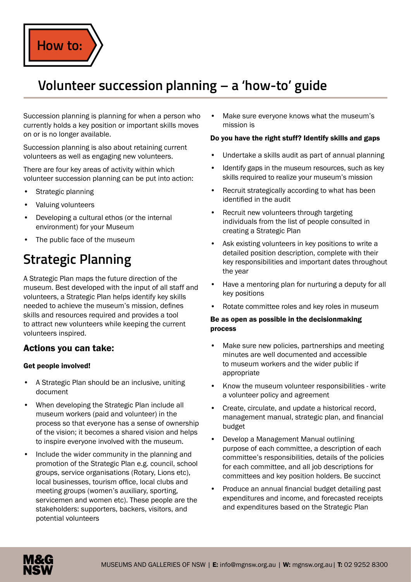

## **Volunteer succession planning – a 'how-to' guide**

Succession planning is planning for when a person who currently holds a key position or important skills moves on or is no longer available.

Succession planning is also about retaining current volunteers as well as engaging new volunteers.

There are four key areas of activity within which volunteer succession planning can be put into action:

- Strategic planning
- Valuing volunteers
- Developing a cultural ethos (or the internal environment) for your Museum
- The public face of the museum

# **Strategic Planning**

A Strategic Plan maps the future direction of the museum. Best developed with the input of all staff and volunteers, a Strategic Plan helps identify key skills needed to achieve the museum's mission, defines skills and resources required and provides a tool to attract new volunteers while keeping the current volunteers inspired.

### Actions you can take:

#### Get people involved!

- A Strategic Plan should be an inclusive, uniting document
- When developing the Strategic Plan include all museum workers (paid and volunteer) in the process so that everyone has a sense of ownership of the vision; it becomes a shared vision and helps to inspire everyone involved with the museum.
- Include the wider community in the planning and promotion of the Strategic Plan e.g. council, school groups, service organisations (Rotary, Lions etc), local businesses, tourism office, local clubs and meeting groups (women's auxiliary, sporting, servicemen and women etc). These people are the stakeholders: supporters, backers, visitors, and potential volunteers

• Make sure everyone knows what the museum's mission is

#### Do you have the right stuff? Identify skills and gaps

- Undertake a skills audit as part of annual planning
- Identify gaps in the museum resources, such as key skills required to realize your museum's mission
- Recruit strategically according to what has been identified in the audit
- Recruit new volunteers through targeting individuals from the list of people consulted in creating a Strategic Plan
- Ask existing volunteers in key positions to write a detailed position description, complete with their key responsibilities and important dates throughout the year
- Have a mentoring plan for nurturing a deputy for all key positions
- Rotate committee roles and key roles in museum

#### Be as open as possible in the decisionmaking process

- Make sure new policies, partnerships and meeting minutes are well documented and accessible to museum workers and the wider public if appropriate
- Know the museum volunteer responsibilities write a volunteer policy and agreement
- Create, circulate, and update a historical record, management manual, strategic plan, and financial budget
- Develop a Management Manual outlining purpose of each committee, a description of each committee's responsibilities, details of the policies for each committee, and all job descriptions for committees and key position holders. Be succinct
- Produce an annual financial budget detailing past expenditures and income, and forecasted receipts and expenditures based on the Strategic Plan

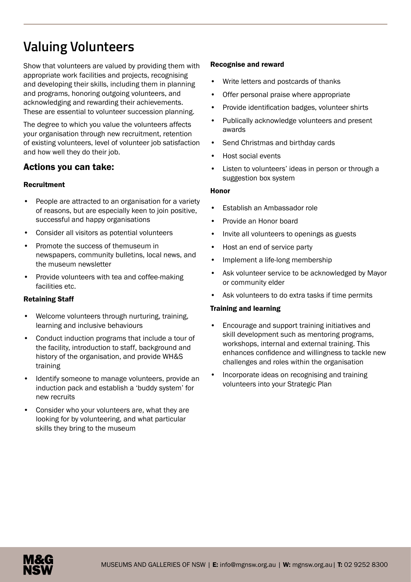# **Valuing Volunteers**

Show that volunteers are valued by providing them with appropriate work facilities and projects, recognising and developing their skills, including them in planning and programs, honoring outgoing volunteers, and acknowledging and rewarding their achievements. These are essential to volunteer succession planning.

The degree to which you value the volunteers affects your organisation through new recruitment, retention of existing volunteers, level of volunteer job satisfaction and how well they do their job.

## Actions you can take:

#### Recruitment

- People are attracted to an organisation for a variety of reasons, but are especially keen to join positive, successful and happy organisations
- Consider all visitors as potential volunteers
- Promote the success of themuseum in newspapers, community bulletins, local news, and the museum newsletter
- Provide volunteers with tea and coffee-making facilities etc.

#### Retaining Staff

- Welcome volunteers through nurturing, training, learning and inclusive behaviours
- Conduct induction programs that include a tour of the facility, introduction to staff, background and history of the organisation, and provide WH&S training
- Identify someone to manage volunteers, provide an induction pack and establish a 'buddy system' for new recruits
- Consider who your volunteers are, what they are looking for by volunteering, and what particular skills they bring to the museum

#### Recognise and reward

- Write letters and postcards of thanks
- Offer personal praise where appropriate
- Provide identification badges, volunteer shirts
- Publically acknowledge volunteers and present awards
- Send Christmas and birthday cards
- Host social events
- Listen to volunteers' ideas in person or through a suggestion box system

#### Honor

- Establish an Ambassador role
- Provide an Honor board
- Invite all volunteers to openings as guests
- Host an end of service party
- Implement a life-long membership
- Ask volunteer service to be acknowledged by Mayor or community elder
- Ask volunteers to do extra tasks if time permits

#### Training and learning

- Encourage and support training initiatives and skill development such as mentoring programs, workshops, internal and external training. This enhances confidence and willingness to tackle new challenges and roles within the organisation
- Incorporate ideas on recognising and training volunteers into your Strategic Plan